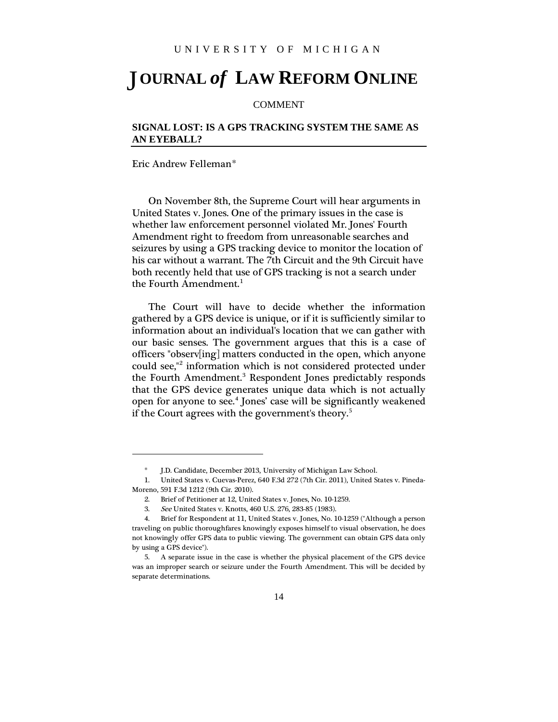## **OURNAL** *of* **LAW REFORM ONLINE** J

## COMMENT

## **SIGNAL LOST: IS A GPS TRACKING SYSTEM THE SAME AS AN EYEBALL?**

Eric Andrew Fellema[n\\*](#page-0-0)

**.** 

On November 8th, the Supreme Court will hear arguments in United States v. Jones. One of the primary issues in the case is whether law enforcement personnel violated Mr. Jones' Fourth Amendment right to freedom from unreasonable searches and seizures by using a GPS tracking device to monitor the location of his car without a warrant. The 7th Circuit and the 9th Circuit have both recently held that use of GPS tracking is not a search under the Fourth Amendment. $<sup>1</sup>$  $<sup>1</sup>$  $<sup>1</sup>$ </sup>

The Court will have to decide whether the information gathered by a GPS device is unique, or if it is sufficiently similar to information about an individual's location that we can gather with our basic senses. The government argues that this is a case of officers "observ[ing] matters conducted in the open, which anyone could see,"[2](#page-0-2) information which is not considered protected under the Fourth Amendment.<sup>[3](#page-0-3)</sup> Respondent Jones predictably responds that the GPS device generates unique data which is not actually open for anyone to see.<sup>[4](#page-0-4)</sup> Jones' case will be significantly weakened if the Court agrees with the government's theory.<sup>[5](#page-0-5)</sup>

J.D. Candidate, December 2013, University of Michigan Law School.

<span id="page-0-1"></span><span id="page-0-0"></span><sup>1.</sup> United States v. Cuevas-Perez, 640 F.3d 272 (7th Cir. 2011), United States v. Pineda-Moreno, 591 F.3d 1212 (9th Cir. 2010).

<sup>2.</sup> Brief of Petitioner at 12, United States v. Jones, No. 10-1259.

<sup>3.</sup> See United States v. Knotts, 460 U.S. 276, 283-85 (1983).

<span id="page-0-4"></span><span id="page-0-3"></span><span id="page-0-2"></span><sup>4.</sup> Brief for Respondent at 11, United States v. Jones, No. 10-1259 ("Although a person traveling on public thoroughfares knowingly exposes himself to visual observation, he does not knowingly offer GPS data to public viewing. The government can obtain GPS data only by using a GPS device").

<span id="page-0-5"></span><sup>5.</sup> A separate issue in the case is whether the physical placement of the GPS device was an improper search or seizure under the Fourth Amendment. This will be decided by separate determinations.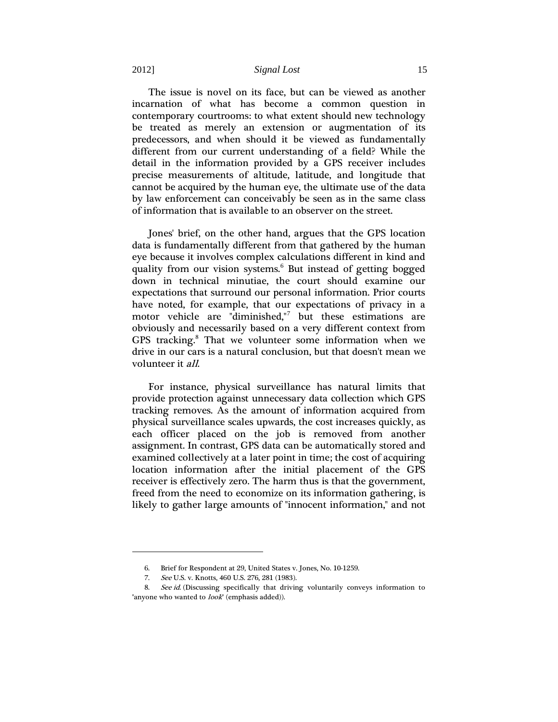## 2012] *Signal Lost* 15

The issue is novel on its face, but can be viewed as another incarnation of what has become a common question in contemporary courtrooms: to what extent should new technology be treated as merely an extension or augmentation of its predecessors, and when should it be viewed as fundamentally different from our current understanding of a field? While the detail in the information provided by a GPS receiver includes precise measurements of altitude, latitude, and longitude that cannot be acquired by the human eye, the ultimate use of the data by law enforcement can conceivably be seen as in the same class of information that is available to an observer on the street.

Jones' brief, on the other hand, argues that the GPS location data is fundamentally different from that gathered by the human eye because it involves complex calculations different in kind and quality from our vision systems.<sup>[6](#page-1-0)</sup> But instead of getting bogged down in technical minutiae, the court should examine our expectations that surround our personal information. Prior courts have noted, for example, that our expectations of privacy in a motor vehicle are "diminished,"[7](#page-1-1) but these estimations are obviously and necessarily based on a very different context from GPS tracking.<sup>[8](#page-1-2)</sup> That we volunteer some information when we drive in our cars is a natural conclusion, but that doesn't mean we volunteer it all.

For instance, physical surveillance has natural limits that provide protection against unnecessary data collection which GPS tracking removes. As the amount of information acquired from physical surveillance scales upwards, the cost increases quickly, as each officer placed on the job is removed from another assignment. In contrast, GPS data can be automatically stored and examined collectively at a later point in time; the cost of acquiring location information after the initial placement of the GPS receiver is effectively zero. The harm thus is that the government, freed from the need to economize on its information gathering, is likely to gather large amounts of "innocent information," and not

**.** 

<sup>6.</sup> Brief for Respondent at 29, United States v. Jones, No. 10-1259.

<sup>7.</sup> See U.S. v. Knotts, 460 U.S. 276, 281 (1983).

<span id="page-1-2"></span><span id="page-1-1"></span><span id="page-1-0"></span><sup>8.</sup> See id. (Discussing specifically that driving voluntarily conveys information to "anyone who wanted to *look*" (emphasis added)).